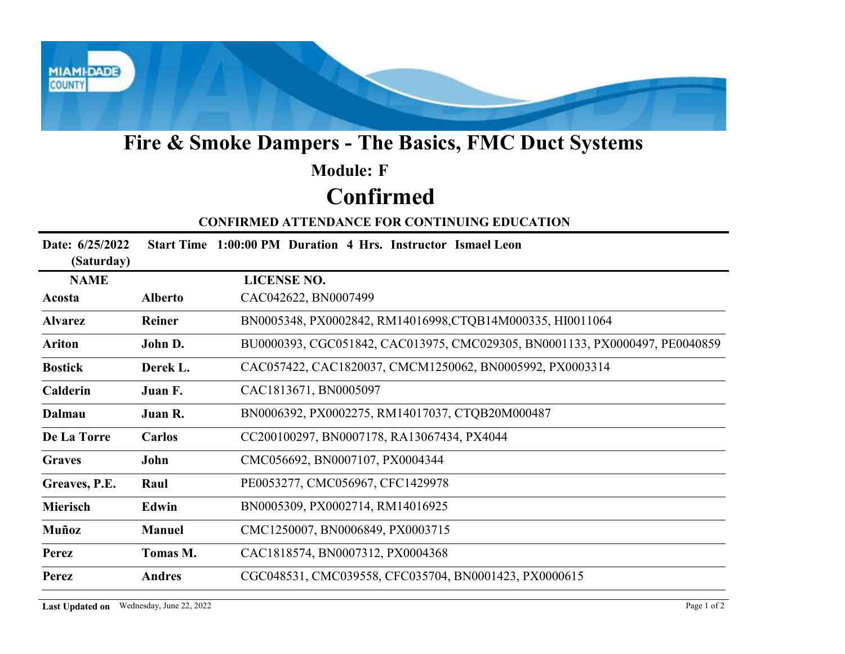

# Fire & Smoke Dampers - The Basics, FMC Duct Systems

## Confirmed Module: F

#### CONFIRMED ATTENDANCE FOR CONTINUING EDUCATION

|                                                                          |                                          | Fire & Smoke Dampers - The Basics, FMC Duct Systems                         |  |
|--------------------------------------------------------------------------|------------------------------------------|-----------------------------------------------------------------------------|--|
|                                                                          |                                          | <b>Module: F</b>                                                            |  |
| <b>Confirmed</b><br><b>CONFIRMED ATTENDANCE FOR CONTINUING EDUCATION</b> |                                          |                                                                             |  |
|                                                                          |                                          |                                                                             |  |
| <b>NAME</b>                                                              |                                          | <b>LICENSE NO.</b>                                                          |  |
| Acosta                                                                   | <b>Alberto</b>                           | CAC042622, BN0007499                                                        |  |
| <b>Alvarez</b>                                                           | Reiner                                   | BN0005348, PX0002842, RM14016998, CTQB14M000335, HI0011064                  |  |
| <b>Ariton</b>                                                            | John D.                                  | BU0000393, CGC051842, CAC013975, CMC029305, BN0001133, PX0000497, PE0040859 |  |
| <b>Bostick</b>                                                           | Derek L.                                 | CAC057422, CAC1820037, CMCM1250062, BN0005992, PX0003314                    |  |
| Calderin                                                                 | Juan F.                                  | CAC1813671, BN0005097                                                       |  |
| <b>Dalmau</b>                                                            | Juan R.                                  | BN0006392, PX0002275, RM14017037, CTQB20M000487                             |  |
| De La Torre                                                              | Carlos                                   | CC200100297, BN0007178, RA13067434, PX4044                                  |  |
| <b>Graves</b>                                                            | John                                     | CMC056692, BN0007107, PX0004344                                             |  |
| Greaves, P.E.                                                            | Raul                                     | PE0053277, CMC056967, CFC1429978                                            |  |
| Mierisch                                                                 | Edwin                                    | BN0005309, PX0002714, RM14016925                                            |  |
| Muñoz                                                                    | <b>Manuel</b>                            | CMC1250007, BN0006849, PX0003715                                            |  |
| <b>Perez</b>                                                             | Tomas M.                                 | CAC1818574, BN0007312, PX0004368                                            |  |
| Perez                                                                    | <b>Andres</b>                            | CGC048531, CMC039558, CFC035704, BN0001423, PX0000615                       |  |
|                                                                          | Last Updated on Wednesday, June 22, 2022 | Page 1 of 2                                                                 |  |